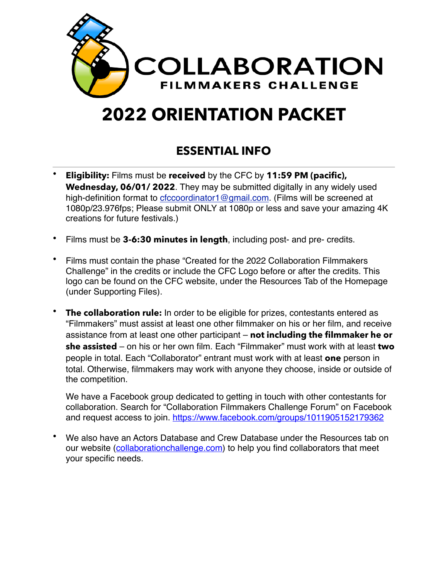

# **2022 ORIENTATION PACKET**

# **ESSENTIAL INFO**

- **Eligibility:** Films must be **received** by the CFC by **11:59 PM (pacific), Wednesday, 06/01/ 2022**. They may be submitted digitally in any widely used high-definition format to [cfccoordinator1@gmail.com.](mailto:cfccoordinator2015@gmail.com) (Films will be screened at 1080p/23.976fps; Please submit ONLY at 1080p or less and save your amazing 4K creations for future festivals.)
- Films must be **3-6:30 minutes in length**, including post- and pre- credits.
- Films must contain the phase "Created for the 2022 Collaboration Filmmakers Challenge" in the credits or include the CFC Logo before or after the credits. This logo can be found on the CFC website, under the Resources Tab of the Homepage (under Supporting Files).
- **The collaboration rule:** In order to be eligible for prizes, contestants entered as "Filmmakers" must assist at least one other filmmaker on his or her film, and receive assistance from at least one other participant – **not including the filmmaker he or she assisted** – on his or her own film. Each "Filmmaker" must work with at least **two**  people in total. Each "Collaborator" entrant must work with at least **one** person in total. Otherwise, filmmakers may work with anyone they choose, inside or outside of the competition.

We have a Facebook group dedicated to getting in touch with other contestants for collaboration. Search for "Collaboration Filmmakers Challenge Forum" on Facebook and request access to join.<https://www.facebook.com/groups/1011905152179362>

• We also have an Actors Database and Crew Database under the Resources tab on our website ([collaborationchallenge.com](http://collaborationchallenge.com)) to help you find collaborators that meet your specific needs.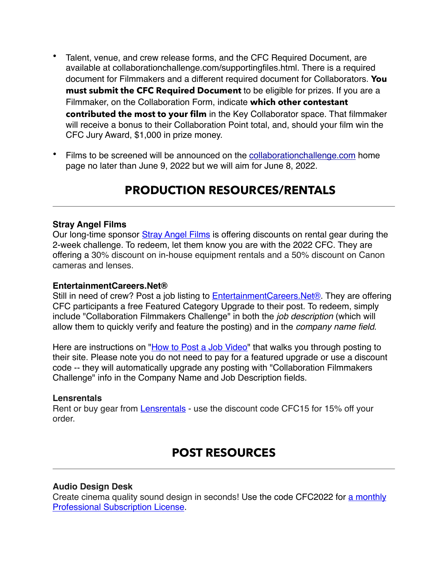- Talent, venue, and crew release forms, and the CFC Required Document, are available at collaborationchallenge.com/supportingfiles.html. There is a required document for Filmmakers and a different required document for Collaborators. **You must submit the CFC Required Document** to be eligible for prizes. If you are a Filmmaker, on the Collaboration Form, indicate **which other contestant contributed the most to your film** in the Key Collaborator space. That filmmaker will receive a bonus to their Collaboration Point total, and, should your film win the CFC Jury Award, \$1,000 in prize money.
- Films to be screened will be announced on the [collaborationchallenge.com](http://collaborationchallenge.com) home page no later than June 9, 2022 but we will aim for June 8, 2022.

# **PRODUCTION RESOURCES/RENTALS**

#### **Stray Angel Films**

Our long-time sponsor [Stray Angel Films](https://mailtrack.io/trace/link/21c75d2ea427ecc56936e6877fe350589f45f822?url=https%3A%2F%2Fwww.strayangel.com%2F&userId=3978513&signature=7a12505a971dee56) is offering discounts on rental gear during the 2-week challenge. To redeem, let them know you are with the 2022 CFC. They are offering a 30% discount on in-house equipment rentals and a 50% discount on Canon cameras and lenses.

#### **EntertainmentCareers.Net®**

Still in need of crew? Post a job listing to **[EntertainmentCareers.Net®](https://mailtrack.io/trace/link/43c5bf53884ace3be74d71136ffb03548a2311e7?url=http%3A%2F%2Fentertainmentcareers.net%2F&userId=3978513&signature=446e99f15627b6f8)**. They are offering CFC participants a free Featured Category Upgrade to their post. To redeem, simply include "Collaboration Filmmakers Challenge" in both the *job description* (which will allow them to quickly verify and feature the posting) and in the *company name field*.

Here are instructions on "[How to Post a Job Video](https://mailtrack.io/trace/link/1d5e424bb9f7a43acd23ee0f892eeb750ca16cd3?url=https%3A%2F%2Fbit.ly%2F386ZEVg&userId=3978513&signature=58fd19dc09007bc9)" that walks you through posting to their site. Please note you do not need to pay for a featured upgrade or use a discount code -- they will automatically upgrade any posting with "Collaboration Filmmakers Challenge" info in the Company Name and Job Description fields.

#### **Lensrentals**

Rent or buy gear from [Lensrentals](https://mailtrack.io/trace/link/630675d188b69806032855e441a5c79926cf6090?url=https%3A%2F%2Fwww.lensrentals.com%2F&userId=3978513&signature=f11dba4c766f9231) - use the discount code CFC15 for 15% off your order.

### **POST RESOURCES**

#### **Audio Design Desk**

Create cinema quality sound design in seconds! Use the code CFC2022 for [a monthly](https://mailtrack.io/trace/link/a4b0107839abade20a0df77ca08862be31c858ba?url=https%3A%2F%2Fadd.app%2Fpurchase%2F%3Fproduct-id%3D542434&userId=3978513&signature=06ece2b8c93fa228)  [Professional Subscription License](https://mailtrack.io/trace/link/a4b0107839abade20a0df77ca08862be31c858ba?url=https%3A%2F%2Fadd.app%2Fpurchase%2F%3Fproduct-id%3D542434&userId=3978513&signature=06ece2b8c93fa228).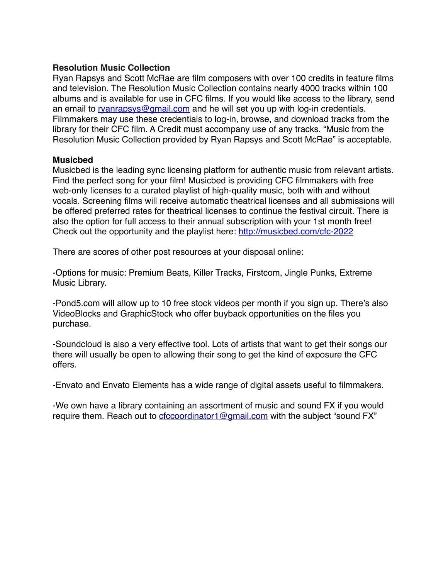#### **Resolution Music Collection**

Ryan Rapsys and Scott McRae are film composers with over 100 credits in feature films and television. The Resolution Music Collection contains nearly 4000 tracks within 100 albums and is available for use in CFC films. If you would like access to the library, send an email to [ryanrapsys@gmail.com](mailto:ryanrapsys@gmail.com) and he will set you up with log-in credentials. Filmmakers may use these credentials to log-in, browse, and download tracks from the library for their CFC film. A Credit must accompany use of any tracks. "Music from the Resolution Music Collection provided by Ryan Rapsys and Scott McRae" is acceptable.

#### **Musicbed**

Musicbed is the leading sync licensing platform for authentic music from relevant artists. Find the perfect song for your film! Musicbed is providing CFC filmmakers with free web-only licenses to a curated playlist of high-quality music, both with and without vocals. Screening films will receive automatic theatrical licenses and all submissions will be offered preferred rates for theatrical licenses to continue the festival circuit. There is also the option for full access to their annual subscription with your 1st month free! Check out the opportunity and the playlist here: [http://musicbed.com/cfc-2022](https://mailtrack.io/trace/link/99a85b490c4d8357688343deb66833db0a05ea72?url=http%3A%2F%2Fmusicbed.com%2Fcfc-2022&userId=3978513&signature=62a60f40beb5b396)

There are scores of other post resources at your disposal online:

-Options for music: Premium Beats, Killer Tracks, Firstcom, Jingle Punks, Extreme Music Library.

-Pond5.com will allow up to 10 free stock videos per month if you sign up. There's also VideoBlocks and GraphicStock who offer buyback opportunities on the files you purchase.

-Soundcloud is also a very effective tool. Lots of artists that want to get their songs our there will usually be open to allowing their song to get the kind of exposure the CFC offers.

-Envato and Envato Elements has a wide range of digital assets useful to filmmakers.

-We own have a library containing an assortment of music and sound FX if you would require them. Reach out to [cfccoordinator1@gmail.com](mailto:cfccoordinator1@gmail.com) with the subject "sound FX"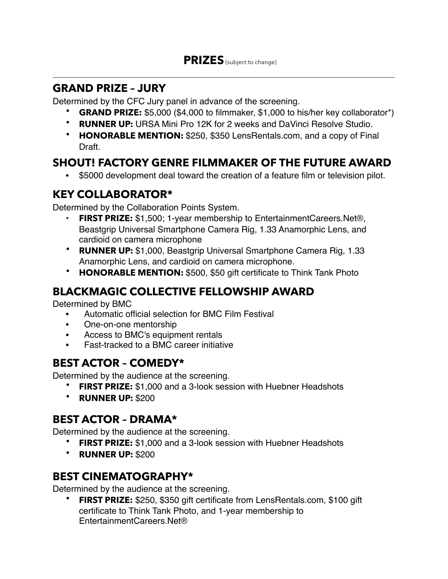### **GRAND PRIZE – JURY**

Determined by the CFC Jury panel in advance of the screening.

- **GRAND PRIZE:** \$5,000 (\$4,000 to filmmaker, \$1,000 to his/her key collaborator\*)
- **RUNNER UP:** URSA Mini Pro 12K for 2 weeks and DaVinci Resolve Studio.
- **HONORABLE MENTION:** \$250, \$350 LensRentals.com, and a copy of Final Draft.

### **SHOUT! FACTORY GENRE FILMMAKER OF THE FUTURE AWARD**

• \$5000 development deal toward the creation of a feature film or television pilot.

## **KEY COLLABORATOR\***

Determined by the Collaboration Points System.

- **FIRST PRIZE:** \$1,500; 1-year membership to EntertainmentCareers.Net®, Beastgrip Universal Smartphone Camera Rig, 1.33 Anamorphic Lens, and cardioid on camera microphone
- **RUNNER UP:** \$1,000, Beastgrip Universal Smartphone Camera Rig, 1.33 Anamorphic Lens, and cardioid on camera microphone.
- **HONORABLE MENTION:** \$500, \$50 gift certificate to Think Tank Photo

### **BLACKMAGIC COLLECTIVE FELLOWSHIP AWARD**

Determined by BMC

- Automatic official selection for BMC Film Festival
- One-on-one mentorship
- Access to BMC's equipment rentals
- Fast-tracked to a BMC career initiative

### **BEST ACTOR – COMEDY\***

Determined by the audience at the screening.

- **FIRST PRIZE:** \$1,000 and a 3-look session with Huebner Headshots
- **RUNNER UP:** \$200

### **BEST ACTOR – DRAMA\***

Determined by the audience at the screening.

- **FIRST PRIZE:** \$1,000 and a 3-look session with Huebner Headshots
- **RUNNER UP:** \$200

### **BEST CINEMATOGRAPHY\***

Determined by the audience at the screening.

• **FIRST PRIZE:** \$250, \$350 gift certificate from LensRentals.com, \$100 gift certificate to Think Tank Photo, and 1-year membership to EntertainmentCareers.Net®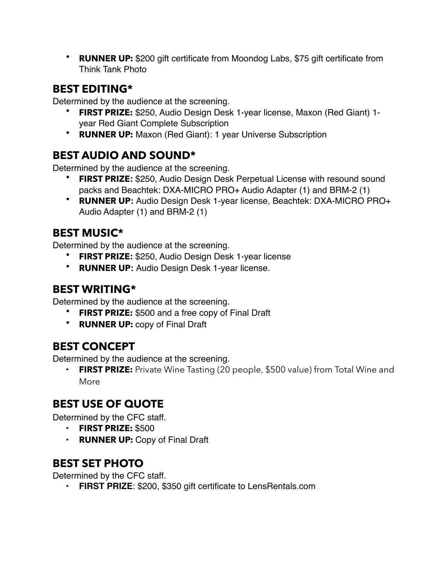• **RUNNER UP:** \$200 gift certificate from Moondog Labs, \$75 gift certificate from Think Tank Photo

### **BEST EDITING\***

Determined by the audience at the screening.

- **FIRST PRIZE:** \$250, Audio Design Desk 1-year license, Maxon (Red Giant) 1 year Red Giant Complete Subscription
- **RUNNER UP:** Maxon (Red Giant): 1 year Universe Subscription

# **BEST AUDIO AND SOUND\***

Determined by the audience at the screening.

- **FIRST PRIZE:** \$250, Audio Design Desk Perpetual License with resound sound packs and Beachtek: DXA-MICRO PRO+ Audio Adapter (1) and BRM-2 (1)
- **RUNNER UP:** Audio Design Desk 1-year license, Beachtek: DXA-MICRO PRO+ Audio Adapter (1) and BRM-2 (1)

# **BEST MUSIC\***

Determined by the audience at the screening.

- **FIRST PRIZE:** \$250, Audio Design Desk 1-year license
- **RUNNER UP:** Audio Design Desk 1-year license.

### **BEST WRITING\***

Determined by the audience at the screening.

- **FIRST PRIZE:** \$500 and a free copy of Final Draft
- **RUNNER UP:** copy of Final Draft

# **BEST CONCEPT**

Determined by the audience at the screening.

**FIRST PRIZE:** Private Wine Tasting (20 people, \$500 value) from Total Wine and More

### **BEST USE OF QUOTE**

Determined by the CFC staff.

- **FIRST PRIZE:** \$500
- **RUNNER UP:** Copy of Final Draft

# **BEST SET PHOTO**

Determined by the CFC staff.

• **FIRST PRIZE**: \$200, \$350 gift certificate to LensRentals.com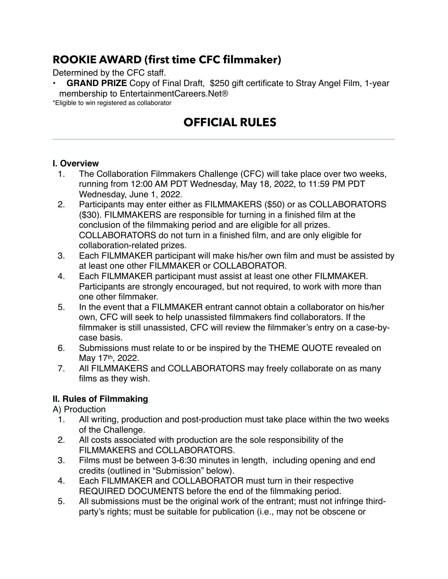### **ROOKIE AWARD (first time CFC filmmaker)**

#### Determined by the CFC staff.

GRAND PRIZE Copy of Final Draft, \$250 gift certificate to Stray Angel Film, 1-year membership to EntertainmentCareers.Net®

\*Eligible to win registered as collaborator

# **OFFICIAL RULES**

#### **I. Overview**

- 1. The Collaboration Filmmakers Challenge (CFC) will take place over two weeks, running from 12:00 AM PDT Wednesday, May 18, 2022, to 11:59 PM PDT Wednesday, June 1, 2022.
- 2. Participants may enter either as FILMMAKERS (\$50) or as COLLABORATORS (\$30). FILMMAKERS are responsible for turning in a finished film at the conclusion of the filmmaking period and are eligible for all prizes. COLLABORATORS do not turn in a finished film, and are only eligible for collaboration-related prizes.
- 3. Each FILMMAKER participant will make his/her own film and must be assisted by at least one other FILMMAKER or COLLABORATOR.
- 4. Each FILMMAKER participant must assist at least one other FILMMAKER. Participants are strongly encouraged, but not required, to work with more than one other filmmaker.
- 5. In the event that a FILMMAKER entrant cannot obtain a collaborator on his/her own, CFC will seek to help unassisted filmmakers find collaborators. If the filmmaker is still unassisted, CFC will review the filmmaker's entry on a case-bycase basis.
- 6. Submissions must relate to or be inspired by the THEME QUOTE revealed on May 17th, 2022.
- 7. All FILMMAKERS and COLLABORATORS may freely collaborate on as many films as they wish.

### **II. Rules of Filmmaking**

A) Production

- 1. All writing, production and post-production must take place within the two weeks of the Challenge.
- 2. All costs associated with production are the sole responsibility of the FILMMAKERS and COLLABORATORS.
- 3. Films must be between 3-6:30 minutes in length, including opening and end credits (outlined in "Submission" below).
- 4. Each FILMMAKER and COLLABORATOR must turn in their respective REQUIRED DOCUMENTS before the end of the filmmaking period.
- 5. All submissions must be the original work of the entrant; must not infringe thirdparty's rights; must be suitable for publication (i.e., may not be obscene or